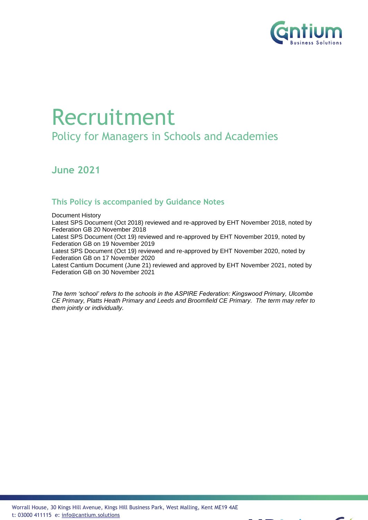

# Recruitment

Policy for Managers in Schools and Academies

**June 2021**

## **This Policy is accompanied by Guidance Notes**

Document History

Latest SPS Document (Oct 2018) reviewed and re-approved by EHT November 2018, noted by Federation GB 20 November 2018

Latest SPS Document (Oct 19) reviewed and re-approved by EHT November 2019, noted by Federation GB on 19 November 2019

Latest SPS Document (Oct 19) reviewed and re-approved by EHT November 2020, noted by Federation GB on 17 November 2020

Latest Cantium Document (June 21) reviewed and approved by EHT November 2021, noted by Federation GB on 30 November 2021

*The term 'school' refers to the schools in the ASPIRE Federation: Kingswood Primary, Ulcombe CE Primary, Platts Heath Primary and Leeds and Broomfield CE Primary. The term may refer to them jointly or individually.*

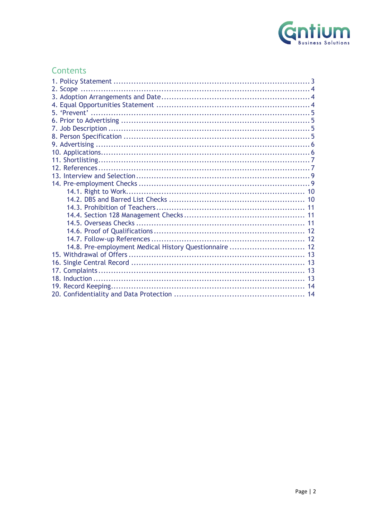

## Contents

| 14.8. Pre-employment Medical History Questionnaire  12 |  |
|--------------------------------------------------------|--|
|                                                        |  |
|                                                        |  |
|                                                        |  |
|                                                        |  |
|                                                        |  |
|                                                        |  |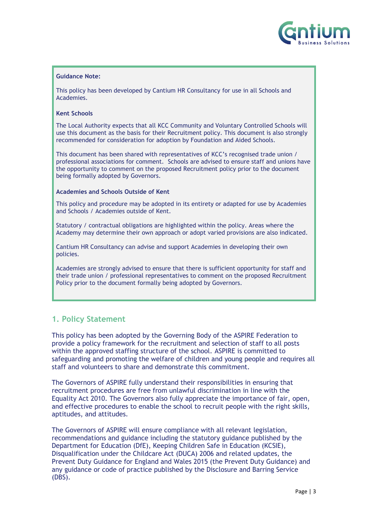

#### **Guidance Note:**

This policy has been developed by Cantium HR Consultancy for use in all Schools and Academies.

#### **Kent Schools**

The Local Authority expects that all KCC Community and Voluntary Controlled Schools will use this document as the basis for their Recruitment policy. This document is also strongly recommended for consideration for adoption by Foundation and Aided Schools.

This document has been shared with representatives of KCC's recognised trade union / professional associations for comment. Schools are advised to ensure staff and unions have the opportunity to comment on the proposed Recruitment policy prior to the document being formally adopted by Governors.

#### **Academies and Schools Outside of Kent**

This policy and procedure may be adopted in its entirety or adapted for use by Academies and Schools / Academies outside of Kent.

Statutory / contractual obligations are highlighted within the policy. Areas where the Academy may determine their own approach or adopt varied provisions are also indicated.

Cantium HR Consultancy can advise and support Academies in developing their own policies.

Academies are strongly advised to ensure that there is sufficient opportunity for staff and their trade union / professional representatives to comment on the proposed Recruitment Policy prior to the document formally being adopted by Governors.

## <span id="page-2-0"></span>**1. Policy Statement**

This policy has been adopted by the Governing Body of the ASPIRE Federation to provide a policy framework for the recruitment and selection of staff to all posts within the approved staffing structure of the school. ASPIRE is committed to safeguarding and promoting the welfare of children and young people and requires all staff and volunteers to share and demonstrate this commitment.

The Governors of ASPIRE fully understand their responsibilities in ensuring that recruitment procedures are free from unlawful discrimination in line with the Equality Act 2010. The Governors also fully appreciate the importance of fair, open, and effective procedures to enable the school to recruit people with the right skills, aptitudes, and attitudes.

The Governors of ASPIRE will ensure compliance with all relevant legislation, recommendations and guidance including the statutory guidance published by the Department for Education (DfE), Keeping Children Safe in Education (KCSIE), Disqualification under the Childcare Act (DUCA) 2006 and related updates, the Prevent Duty Guidance for England and Wales 2015 (the Prevent Duty Guidance) and any guidance or code of practice published by the Disclosure and Barring Service (DBS).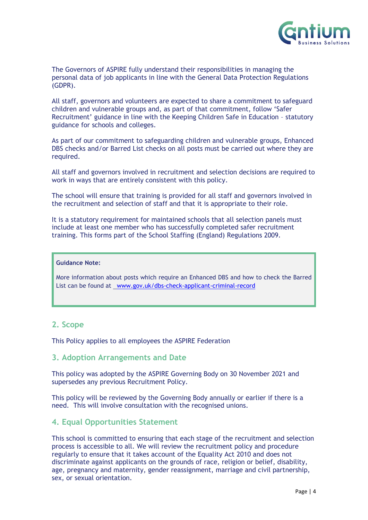

The Governors of ASPIRE fully understand their responsibilities in managing the personal data of job applicants in line with the General Data Protection Regulations (GDPR).

All staff, governors and volunteers are expected to share a commitment to safeguard children and vulnerable groups and, as part of that commitment, follow 'Safer Recruitment' guidance in line with the Keeping Children Safe in Education – statutory guidance for schools and colleges.

As part of our commitment to safeguarding children and vulnerable groups, Enhanced DBS checks and/or Barred List checks on all posts must be carried out where they are required.

All staff and governors involved in recruitment and selection decisions are required to work in ways that are entirely consistent with this policy.

The school will ensure that training is provided for all staff and governors involved in the recruitment and selection of staff and that it is appropriate to their role.

It is a statutory requirement for maintained schools that all selection panels must include at least one member who has successfully completed safer recruitment training. This forms part of the School Staffing (England) Regulations 2009.

#### **Guidance Note:**

More information about posts which require an Enhanced DBS and how to check the Barred List can be found at [www.gov.uk/dbs-check-applicant-criminal-record](http://www.gov.uk/dbs-check-applicant-criminal-record)

## <span id="page-3-0"></span>**2. Scope**

This Policy applies to all employees the ASPIRE Federation

#### <span id="page-3-1"></span>**3. Adoption Arrangements and Date**

This policy was adopted by the ASPIRE Governing Body on 30 November 2021 and supersedes any previous Recruitment Policy.

This policy will be reviewed by the Governing Body annually or earlier if there is a need. This will involve consultation with the recognised unions.

## <span id="page-3-2"></span>**4. Equal Opportunities Statement**

This school is committed to ensuring that each stage of the recruitment and selection process is accessible to all. We will review the recruitment policy and procedure regularly to ensure that it takes account of the Equality Act 2010 and does not discriminate against applicants on the grounds of race, religion or belief, disability, age, pregnancy and maternity, gender reassignment, marriage and civil partnership, sex, or sexual orientation.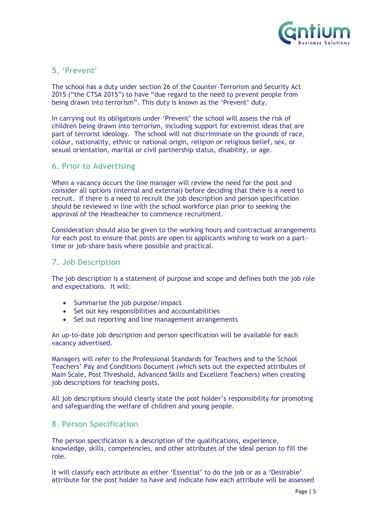

## <span id="page-4-0"></span>**5. 'Prevent'**

The school has a duty under section 26 of the Counter-Terrorism and Security Act 2015 ("the CTSA 2015") to have "due regard to the need to prevent people from being drawn into terrorism". This duty is known as the 'Prevent' duty.

In carrying out its obligations under 'Prevent' the school will assess the risk of children being drawn into terrorism, including support for extremist ideas that are part of terrorist ideology. The school will not discriminate on the grounds of race, colour, nationality, ethnic or national origin, religion or religious belief, sex, or sexual orientation, marital or civil partnership status, disability, or age.

## <span id="page-4-1"></span>**6. Prior to Advertising**

When a vacancy occurs the line manager will review the need for the post and consider all options (internal and external) before deciding that there is a need to recruit. If there is a need to recruit the job description and person specification should be reviewed in line with the school workforce plan prior to seeking the approval of the Headteacher to commence recruitment.

Consideration should also be given to the working hours and contractual arrangements for each post to ensure that posts are open to applicants wishing to work on a parttime or job-share basis where possible and practical.

## <span id="page-4-2"></span>**7. Job Description**

The job description is a statement of purpose and scope and defines both the job role and expectations. It will:

- Summarise the job purpose/impact
- Set out key responsibilities and accountabilities
- Set out reporting and line management arrangements

An up-to-date job description and person specification will be available for each vacancy advertised.

Managers will refer to the Professional Standards for Teachers and to the School Teachers' Pay and Conditions Document (which sets out the expected attributes of Main Scale, Post Threshold, Advanced Skills and Excellent Teachers) when creating job descriptions for teaching posts.

All job descriptions should clearly state the post holder's responsibility for promoting and safeguarding the welfare of children and young people.

## <span id="page-4-3"></span>**8. Person Specification**

The person specification is a description of the qualifications, experience, knowledge, skills, competencies, and other attributes of the ideal person to fill the role.

It will classify each attribute as either 'Essential' to do the job or as a 'Desirable' attribute for the post holder to have and indicate how each attribute will be assessed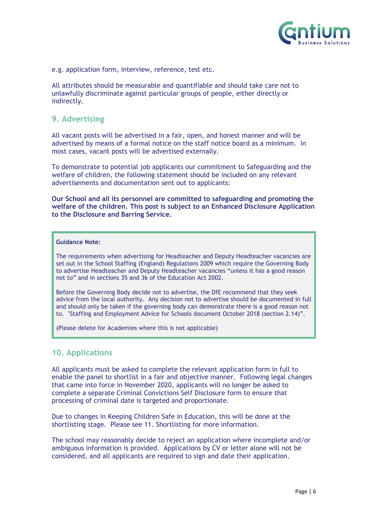

e.g. application form, interview, reference, test etc.

All attributes should be measurable and quantifiable and should take care not to unlawfully discriminate against particular groups of people, either directly or indirectly.

## <span id="page-5-0"></span>**9. Advertising**

All vacant posts will be advertised in a fair, open, and honest manner and will be advertised by means of a formal notice on the staff notice board as a minimum. In most cases, vacant posts will be advertised externally.

To demonstrate to potential job applicants our commitment to Safeguarding and the welfare of children, the following statement should be included on any relevant advertisements and documentation sent out to applicants:

**Our School and all its personnel are committed to safeguarding and promoting the welfare of the children. This post is subject to an Enhanced Disclosure Application to the Disclosure and Barring Service.**

#### **Guidance Note:**

The requirements when advertising for Headteacher and Deputy Headteacher vacancies are set out in the School Staffing (England) Regulations 2009 which require the Governing Body to advertise Headteacher and Deputy Headteacher vacancies "unless it has a good reason not to" and in sections 35 and 36 of the Education Act 2002.

Before the Governing Body decide not to advertise, the DfE recommend that they seek advice from the local authority. Any decision not to advertise should be documented in full and should only be taken if the governing body can demonstrate there is a good reason not to. "Staffing and Employment Advice for Schools document October 2018 (section 2.14)".

(Please delete for Academies where this is not applicable)

## <span id="page-5-1"></span>**10. Applications**

All applicants must be asked to complete the relevant application form in full to enable the panel to shortlist in a fair and objective manner. Following legal changes that came into force in November 2020, applicants will no longer be asked to complete a separate Criminal Convictions Self Disclosure form to ensure that processing of criminal date is targeted and proportionate.

Due to changes in Keeping Children Safe in Education, this will be done at the shortlisting stage. Please see 11. Shortlisting for more information.

The school may reasonably decide to reject an application where incomplete and/or ambiguous information is provided. Applications by CV or letter alone will not be considered, and all applicants are required to sign and date their application.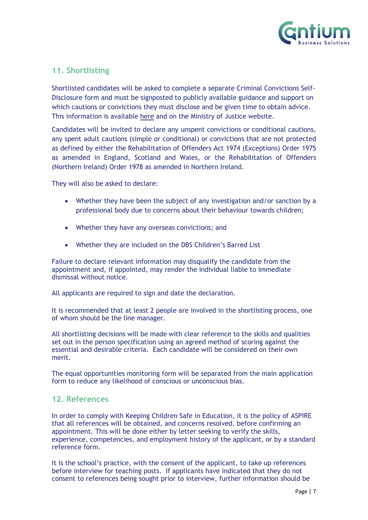

## <span id="page-6-0"></span>**11. Shortlisting**

Shortlisted candidates will be asked to complete a separate Criminal Convictions Self-Disclosure form and must be signposted to publicly available guidance and support on which cautions or convictions they must disclose and be given time to obtain advice. This information is available [here](http://hub.unlock.org.uk/wp-content/uploads/What-will-be-filtered-by-the-DBS.pdf) and on the Ministry of Justice website.

Candidates will be invited to declare any unspent convictions or conditional cautions, any spent adult cautions (simple or conditional) or convictions that are not protected as defined by either the Rehabilitation of Offenders Act 1974 (Exceptions) Order 1975 as amended in England, Scotland and Wales, or the Rehabilitation of Offenders (Northern Ireland) Order 1978 as amended in Northern Ireland.

They will also be asked to declare:

- Whether they have been the subject of any investigation and/or sanction by a professional body due to concerns about their behaviour towards children;
- Whether they have any overseas convictions; and
- Whether they are included on the DBS Children's Barred List

Failure to declare relevant information may disqualify the candidate from the appointment and, if appointed, may render the individual liable to immediate dismissal without notice.

All applicants are required to sign and date the declaration.

It is recommended that at least 2 people are involved in the shortlisting process, one of whom should be the line manager.

All shortlisting decisions will be made with clear reference to the skills and qualities set out in the person specification using an agreed method of scoring against the essential and desirable criteria. Each candidate will be considered on their own merit.

The equal opportunities monitoring form will be separated from the main application form to reduce any likelihood of conscious or unconscious bias.

## <span id="page-6-1"></span>**12. References**

In order to comply with Keeping Children Safe in Education, it is the policy of ASPIRE that all references will be obtained, and concerns resolved, before confirming an appointment. This will be done either by letter seeking to verify the skills, experience, competencies, and employment history of the applicant, or by a standard reference form.

It is the school's practice, with the consent of the applicant, to take up references before interview for teaching posts. If applicants have indicated that they do not consent to references being sought prior to interview, further information should be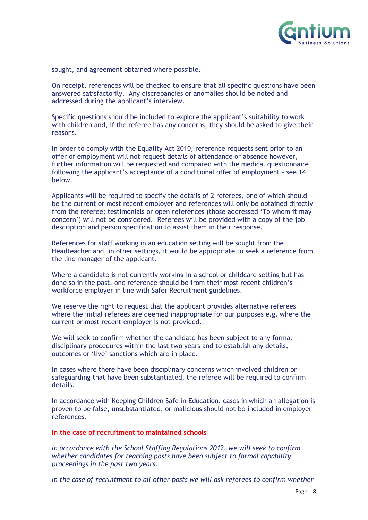

sought, and agreement obtained where possible.

On receipt, references will be checked to ensure that all specific questions have been answered satisfactorily. Any discrepancies or anomalies should be noted and addressed during the applicant's interview.

Specific questions should be included to explore the applicant's suitability to work with children and, if the referee has any concerns, they should be asked to give their reasons.

In order to comply with the Equality Act 2010, reference requests sent prior to an offer of employment will not request details of attendance or absence however, further information will be requested and compared with the medical questionnaire following the applicant's acceptance of a conditional offer of employment – see 14 below.

Applicants will be required to specify the details of 2 referees, one of which should be the current or most recent employer and references will only be obtained directly from the referee: testimonials or open references (those addressed 'To whom it may concern') will not be considered. Referees will be provided with a copy of the job description and person specification to assist them in their response.

References for staff working in an education setting will be sought from the Headteacher and, in other settings, it would be appropriate to seek a reference from the line manager of the applicant.

Where a candidate is not currently working in a school or childcare setting but has done so in the past, one reference should be from their most recent children's workforce employer in line with Safer Recruitment guidelines.

We reserve the right to request that the applicant provides alternative referees where the initial referees are deemed inappropriate for our purposes e.g. where the current or most recent employer is not provided.

We will seek to confirm whether the candidate has been subject to any formal disciplinary procedures within the last two years and to establish any details, outcomes or 'live' sanctions which are in place.

In cases where there have been disciplinary concerns which involved children or safeguarding that have been substantiated, the referee will be required to confirm details.

In accordance with Keeping Children Safe in Education, cases in which an allegation is proven to be false, unsubstantiated, or malicious should not be included in employer references.

#### **In the case of recruitment to maintained schools**

*In accordance with the School Staffing Regulations 2012, we will seek to confirm whether candidates for teaching posts have been subject to formal capability proceedings in the past two years.*

*In the case of recruitment to all other posts we will ask referees to confirm whether*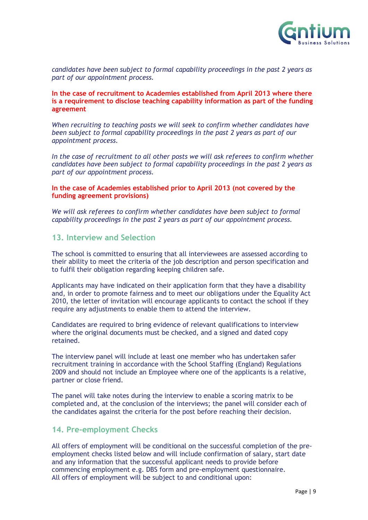

*candidates have been subject to formal capability proceedings in the past 2 years as part of our appointment process.*

#### **In the case of recruitment to Academies established from April 2013 where there is a requirement to disclose teaching capability information as part of the funding agreement**

*When recruiting to teaching posts we will seek to confirm whether candidates have been subject to formal capability proceedings in the past 2 years as part of our appointment process.*

*In the case of recruitment to all other posts we will ask referees to confirm whether candidates have been subject to formal capability proceedings in the past 2 years as part of our appointment process.*

#### **In the case of Academies established prior to April 2013 (not covered by the funding agreement provisions)**

We will ask referees to confirm whether candidates have been subject to formal *capability proceedings in the past 2 years as part of our appointment process.*

## <span id="page-8-0"></span>**13. Interview and Selection**

The school is committed to ensuring that all interviewees are assessed according to their ability to meet the criteria of the job description and person specification and to fulfil their obligation regarding keeping children safe.

Applicants may have indicated on their application form that they have a disability and, in order to promote fairness and to meet our obligations under the Equality Act 2010, the letter of invitation will encourage applicants to contact the school if they require any adjustments to enable them to attend the interview.

Candidates are required to bring evidence of relevant qualifications to interview where the original documents must be checked, and a signed and dated copy retained.

The interview panel will include at least one member who has undertaken safer recruitment training in accordance with the School Staffing (England) Regulations 2009 and should not include an Employee where one of the applicants is a relative, partner or close friend.

The panel will take notes during the interview to enable a scoring matrix to be completed and, at the conclusion of the interviews; the panel will consider each of the candidates against the criteria for the post before reaching their decision.

## <span id="page-8-1"></span>**14. Pre-employment Checks**

All offers of employment will be conditional on the successful completion of the preemployment checks listed below and will include confirmation of salary, start date and any information that the successful applicant needs to provide before commencing employment e.g. DBS form and pre-employment questionnaire. All offers of employment will be subject to and conditional upon: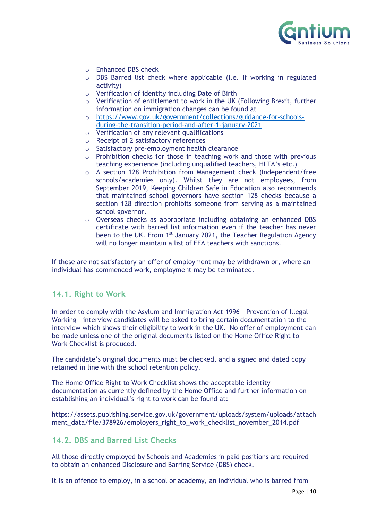

- o Enhanced DBS check
- o DBS Barred list check where applicable (i.e. if working in regulated activity)
- o Verification of identity including Date of Birth
- $\circ$  Verification of entitlement to work in the UK (Following Brexit, further information on immigration changes can be found at
- o [https://www.gov.uk/government/collections/guidance-for-schools](https://www.gov.uk/government/collections/guidance-for-schools-during-the-transition-period-and-after-1-january-2021)[during-the-transition-period-and-after-1-january-2021](https://www.gov.uk/government/collections/guidance-for-schools-during-the-transition-period-and-after-1-january-2021)
- o Verification of any relevant qualifications
- o Receipt of 2 satisfactory references
- o Satisfactory pre-employment health clearance
- o Prohibition checks for those in teaching work and those with previous teaching experience (including unqualified teachers, HLTA's etc.)
- o A section 128 Prohibition from Management check (Independent/free schools/academies only). Whilst they are not employees, from September 2019, Keeping Children Safe in Education also recommends that maintained school governors have section 128 checks because a section 128 direction prohibits someone from serving as a maintained school governor.
- o Overseas checks as appropriate including obtaining an enhanced DBS certificate with barred list information even if the teacher has never been to the UK. From 1<sup>st</sup> January 2021, the Teacher Regulation Agency will no longer maintain a list of EEA teachers with sanctions.

If these are not satisfactory an offer of employment may be withdrawn or, where an individual has commenced work, employment may be terminated.

## <span id="page-9-0"></span>**14.1. Right to Work**

In order to comply with the Asylum and Immigration Act 1996 – Prevention of Illegal Working – interview candidates will be asked to bring certain documentation to the interview which shows their eligibility to work in the UK. No offer of employment can be made unless one of the original documents listed on the Home Office Right to Work Checklist is produced.

The candidate's original documents must be checked, and a signed and dated copy retained in line with the school retention policy.

The Home Office Right to Work Checklist shows the acceptable identity documentation as currently defined by the Home Office and further information on establishing an individual's right to work can be found at:

[https://assets.publishing.service.gov.uk/government/uploads/system/uploads/attach](https://assets.publishing.service.gov.uk/government/uploads/system/uploads/attachment_data/file/378926/employers_right_to_work_checklist_november_2014.pdf) [ment\\_data/file/378926/employers\\_right\\_to\\_work\\_checklist\\_november\\_2014.pdf](https://assets.publishing.service.gov.uk/government/uploads/system/uploads/attachment_data/file/378926/employers_right_to_work_checklist_november_2014.pdf)

## <span id="page-9-1"></span>**14.2. DBS and Barred List Checks**

All those directly employed by Schools and Academies in paid positions are required to obtain an enhanced Disclosure and Barring Service (DBS) check.

It is an offence to employ, in a school or academy, an individual who is barred from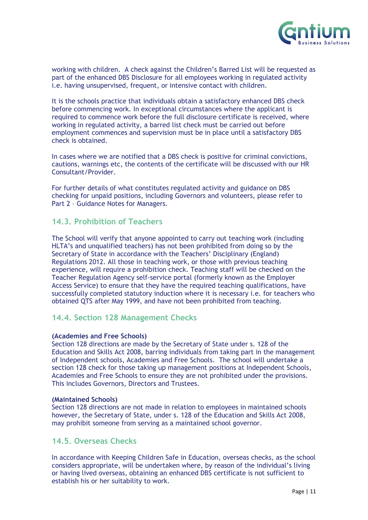

working with children. A check against the Children's Barred List will be requested as part of the enhanced DBS Disclosure for all employees working in regulated activity i.e. having unsupervised, frequent, or intensive contact with children.

It is the schools practice that individuals obtain a satisfactory enhanced DBS check before commencing work. In exceptional circumstances where the applicant is required to commence work before the full disclosure certificate is received, where working in regulated activity, a barred list check must be carried out before employment commences and supervision must be in place until a satisfactory DBS check is obtained.

In cases where we are notified that a DBS check is positive for criminal convictions, cautions, warnings etc, the contents of the certificate will be discussed with our HR Consultant/Provider.

For further details of what constitutes regulated activity and guidance on DBS checking for unpaid positions, including Governors and volunteers, please refer to Part 2 – Guidance Notes for Managers.

## <span id="page-10-0"></span>**14.3. Prohibition of Teachers**

The School will verify that anyone appointed to carry out teaching work (including HLTA's and unqualified teachers) has not been prohibited from doing so by the Secretary of State in accordance with the Teachers' Disciplinary (England) Regulations 2012. All those in teaching work, or those with previous teaching experience, will require a prohibition check. Teaching staff will be checked on the Teacher Regulation Agency self-service portal (formerly known as the Employer Access Service) to ensure that they have the required teaching qualifications, have successfully completed statutory induction where it is necessary i.e. for teachers who obtained QTS after May 1999, and have not been prohibited from teaching.

## <span id="page-10-1"></span>**14.4. Section 128 Management Checks**

#### **(Academies and Free Schools)**

Section 128 directions are made by the Secretary of State under s. 128 of the Education and Skills Act 2008, barring individuals from taking part in the management of Independent schools, Academies and Free Schools. The school will undertake a section 128 check for those taking up management positions at Independent Schools, Academies and Free Schools to ensure they are not prohibited under the provisions. This includes Governors, Directors and Trustees.

#### **(Maintained Schools)**

Section 128 directions are not made in relation to employees in maintained schools however, the Secretary of State, under s. 128 of the Education and Skills Act 2008, may prohibit someone from serving as a maintained school governor.

## <span id="page-10-2"></span>**14.5. Overseas Checks**

In accordance with Keeping Children Safe in Education, overseas checks, as the school considers appropriate, will be undertaken where, by reason of the individual's living or having lived overseas, obtaining an enhanced DBS certificate is not sufficient to establish his or her suitability to work.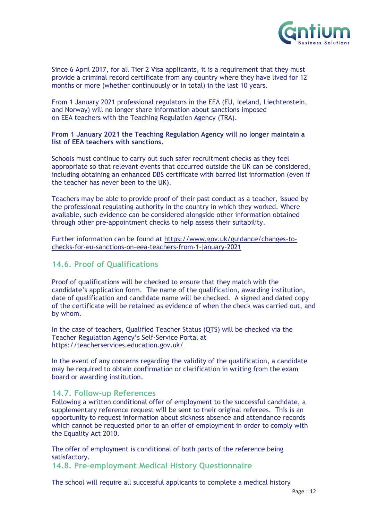

Since 6 April 2017, for all Tier 2 Visa applicants, it is a requirement that they must provide a criminal record certificate from any country where they have lived for 12 months or more (whether continuously or in total) in the last 10 years.

From 1 January 2021 professional regulators in the EEA (EU, Iceland, Liechtenstein, and Norway) will no longer share information about sanctions imposed on EEA teachers with the Teaching Regulation Agency (TRA).

#### **From 1 January 2021 the Teaching Regulation Agency will no longer maintain a list of EEA teachers with sanctions.**

Schools must continue to carry out such safer recruitment checks as they feel appropriate so that relevant events that occurred outside the UK can be considered, including obtaining an enhanced DBS certificate with barred list information (even if the teacher has never been to the UK).

Teachers may be able to provide proof of their past conduct as a teacher, issued by the professional regulating authority in the country in which they worked. Where available, such evidence can be considered alongside other information obtained through other pre-appointment checks to help assess their suitability.

Further information can be found at [https://www.gov.uk/guidance/changes-to](https://www.gov.uk/guidance/changes-to-checks-for-eu-sanctions-on-eea-teachers-from-1-january-2021)[checks-for-eu-sanctions-on-eea-teachers-from-1-january-2021](https://www.gov.uk/guidance/changes-to-checks-for-eu-sanctions-on-eea-teachers-from-1-january-2021)

## <span id="page-11-0"></span>**14.6. Proof of Qualifications**

Proof of qualifications will be checked to ensure that they match with the candidate's application form. The name of the qualification, awarding institution, date of qualification and candidate name will be checked. A signed and dated copy of the certificate will be retained as evidence of when the check was carried out, and by whom.

In the case of teachers, Qualified Teacher Status (QTS) will be checked via the Teacher Regulation Agency's Self-Service Portal at <https://teacherservices.education.gov.uk/>

In the event of any concerns regarding the validity of the qualification, a candidate may be required to obtain confirmation or clarification in writing from the exam board or awarding institution.

#### <span id="page-11-1"></span>**14.7. Follow-up References**

Following a written conditional offer of employment to the successful candidate, a supplementary reference request will be sent to their original referees. This is an opportunity to request information about sickness absence and attendance records which cannot be requested prior to an offer of employment in order to comply with the Equality Act 2010.

The offer of employment is conditional of both parts of the reference being satisfactory.

<span id="page-11-2"></span>**14.8. Pre-employment Medical History Questionnaire**

The school will require all successful applicants to complete a medical history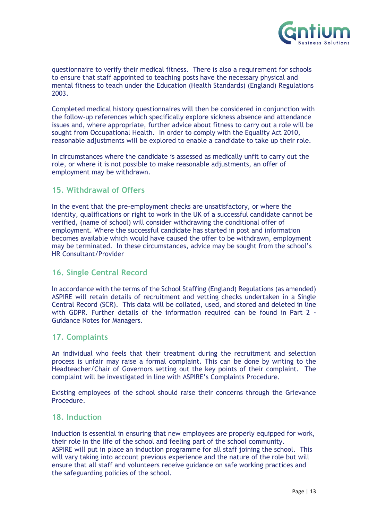

questionnaire to verify their medical fitness. There is also a requirement for schools to ensure that staff appointed to teaching posts have the necessary physical and mental fitness to teach under the Education (Health Standards) (England) Regulations 2003.

Completed medical history questionnaires will then be considered in conjunction with the follow-up references which specifically explore sickness absence and attendance issues and, where appropriate, further advice about fitness to carry out a role will be sought from Occupational Health. In order to comply with the Equality Act 2010, reasonable adjustments will be explored to enable a candidate to take up their role.

In circumstances where the candidate is assessed as medically unfit to carry out the role, or where it is not possible to make reasonable adjustments, an offer of employment may be withdrawn.

## <span id="page-12-0"></span>**15. Withdrawal of Offers**

In the event that the pre-employment checks are unsatisfactory, or where the identity, qualifications or right to work in the UK of a successful candidate cannot be verified, (name of school) will consider withdrawing the conditional offer of employment. Where the successful candidate has started in post and information becomes available which would have caused the offer to be withdrawn, employment may be terminated. In these circumstances, advice may be sought from the school's HR Consultant/Provider

## <span id="page-12-1"></span>**16. Single Central Record**

In accordance with the terms of the School Staffing (England) Regulations (as amended) ASPIRE will retain details of recruitment and vetting checks undertaken in a Single Central Record (SCR). This data will be collated, used, and stored and deleted in line with GDPR. Further details of the information required can be found in Part 2 - Guidance Notes for Managers.

## <span id="page-12-2"></span>**17. Complaints**

An individual who feels that their treatment during the recruitment and selection process is unfair may raise a formal complaint. This can be done by writing to the Headteacher/Chair of Governors setting out the key points of their complaint. The complaint will be investigated in line with ASPIRE's Complaints Procedure.

Existing employees of the school should raise their concerns through the Grievance Procedure.

## <span id="page-12-3"></span>**18. Induction**

Induction is essential in ensuring that new employees are properly equipped for work, their role in the life of the school and feeling part of the school community. ASPIRE will put in place an induction programme for all staff joining the school. This will vary taking into account previous experience and the nature of the role but will ensure that all staff and volunteers receive guidance on safe working practices and the safeguarding policies of the school.